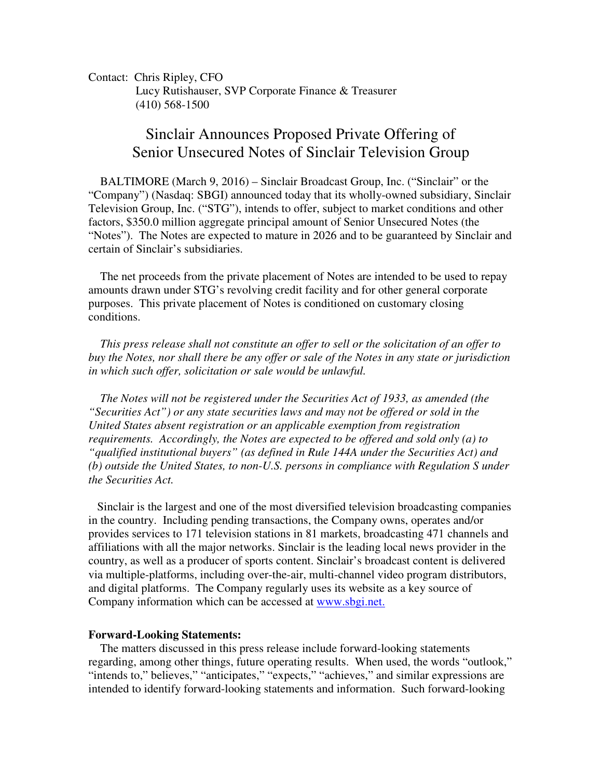Contact: Chris Ripley, CFO Lucy Rutishauser, SVP Corporate Finance & Treasurer (410) 568-1500

## Sinclair Announces Proposed Private Offering of Senior Unsecured Notes of Sinclair Television Group

 BALTIMORE (March 9, 2016) – Sinclair Broadcast Group, Inc. ("Sinclair" or the "Company") (Nasdaq: SBGI) announced today that its wholly-owned subsidiary, Sinclair Television Group, Inc. ("STG"), intends to offer, subject to market conditions and other factors, \$350.0 million aggregate principal amount of Senior Unsecured Notes (the "Notes"). The Notes are expected to mature in 2026 and to be guaranteed by Sinclair and certain of Sinclair's subsidiaries.

 The net proceeds from the private placement of Notes are intended to be used to repay amounts drawn under STG's revolving credit facility and for other general corporate purposes. This private placement of Notes is conditioned on customary closing conditions.

 *This press release shall not constitute an offer to sell or the solicitation of an offer to buy the Notes, nor shall there be any offer or sale of the Notes in any state or jurisdiction in which such offer, solicitation or sale would be unlawful.* 

 *The Notes will not be registered under the Securities Act of 1933, as amended (the "Securities Act") or any state securities laws and may not be offered or sold in the United States absent registration or an applicable exemption from registration requirements. Accordingly, the Notes are expected to be offered and sold only (a) to "qualified institutional buyers" (as defined in Rule 144A under the Securities Act) and (b) outside the United States, to non-U.S. persons in compliance with Regulation S under the Securities Act.* 

 Sinclair is the largest and one of the most diversified television broadcasting companies in the country. Including pending transactions, the Company owns, operates and/or provides services to 171 television stations in 81 markets, broadcasting 471 channels and affiliations with all the major networks. Sinclair is the leading local news provider in the country, as well as a producer of sports content. Sinclair's broadcast content is delivered via multiple-platforms, including over-the-air, multi-channel video program distributors, and digital platforms. The Company regularly uses its website as a key source of Company information which can be accessed at www.sbgi.net.

## **Forward-Looking Statements:**

 The matters discussed in this press release include forward-looking statements regarding, among other things, future operating results. When used, the words "outlook," "intends to," believes," "anticipates," "expects," "achieves," and similar expressions are intended to identify forward-looking statements and information. Such forward-looking